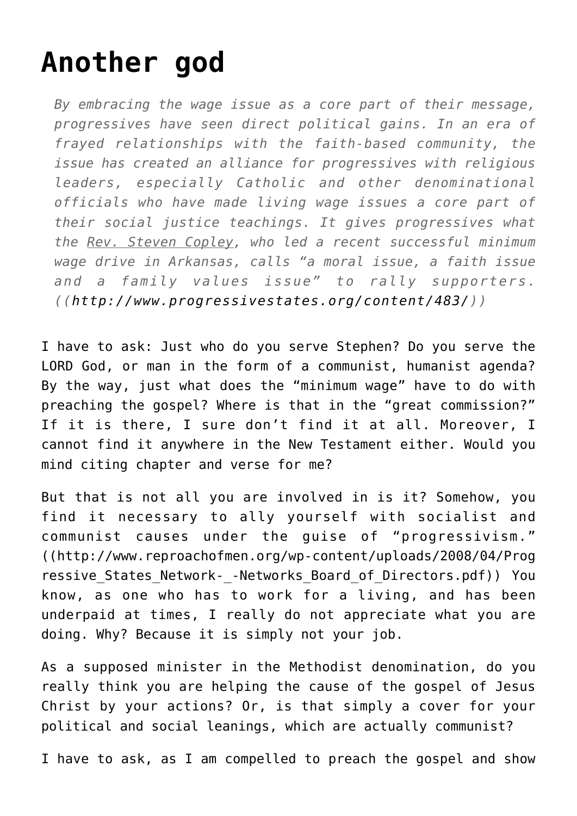## **[Another god](http://reproachofmen.org/2008/04/another-god/)**

*By embracing the wage issue as a core part of their message, progressives have seen direct political gains. In an era of frayed relationships with the faith-based community, the issue has created an alliance for progressives with religious leaders, especially Catholic and other denominational officials who have made living wage issues a core part of their social justice teachings. It gives progressives what the Rev. Steven Copley, who led a recent successful minimum wage drive in Arkansas, calls "a moral issue, a faith issue and a family values issue" to rally supporters. (([http://www.progressivestates.org/content/483/\)](http://www.progressivestates.org/files/reports/BPM2009.html))*

I have to ask: Just who do you serve Stephen? Do you serve the LORD God, or man in the form of a communist, humanist agenda? By the way, just what does the "minimum wage" have to do with preaching the gospel? Where is that in the "great commission?" If it is there, I sure don't find it at all. Moreover, I cannot find it anywhere in the New Testament either. Would you mind citing chapter and verse for me?

But that is not all you are involved in is it? Somehow, you find it necessary to ally yourself with socialist and communist causes under the guise of "progressivism." (([http://www.reproachofmen.org/wp-content/uploads/2008/04/Prog](http://www.reproachofmen.org/wp-content/uploads/2008/04/Progressive_States_Network-_-Networks_Board_of_Directors.pdf) ressive States Network- -Networks Board of Directors.pdf)) You know, as one who has to work for a living, and has been underpaid at times, I really do not appreciate what you are doing. Why? Because it is simply not your job.

As a supposed minister in the Methodist denomination, do you really think you are helping the cause of the gospel of Jesus Christ by your actions? Or, is that simply a cover for your political and social leanings, which are actually communist?

I have to ask, as I am compelled to preach the gospel and show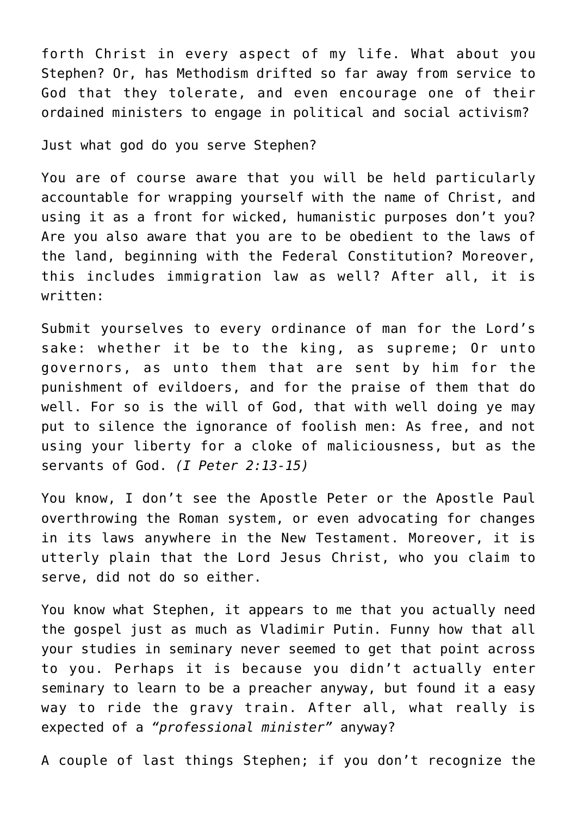forth Christ in every aspect of my life. What about you Stephen? Or, has Methodism drifted so far away from service to God that they tolerate, and even encourage one of their ordained ministers to engage in political and social activism?

Just what god do you serve Stephen?

You are of course aware that you will be held particularly accountable for wrapping yourself with the name of Christ, and using it as a front for wicked, humanistic purposes don't you? Are you also aware that you are to be obedient to the laws of the land, beginning with the Federal Constitution? Moreover, this includes immigration law as well? After all, it is written:

Submit yourselves to every ordinance of man for the Lord's sake: whether it be to the king, as supreme; Or unto governors, as unto them that are sent by him for the punishment of evildoers, and for the praise of them that do well. For so is the will of God, that with well doing ye may put to silence the ignorance of foolish men: As free, and not using your liberty for a cloke of maliciousness, but as the servants of God. *(I Peter 2:13-15)*

You know, I don't see the Apostle Peter or the Apostle Paul overthrowing the Roman system, or even advocating for changes in its laws anywhere in the New Testament. Moreover, it is utterly plain that the Lord Jesus Christ, who you claim to serve, did not do so either.

You know what Stephen, it appears to me that you actually need the gospel just as much as [Vladimir Putin](http://reproachofmen.org/blog/?p=77). Funny how that all your studies in seminary never seemed to get that point across to you. Perhaps it is because you didn't actually enter seminary to learn to be a preacher anyway, but found it a easy way to ride the gravy train. After all, what really is expected of a *"professional minister"* anyway?

A couple of last things Stephen; if you don't recognize the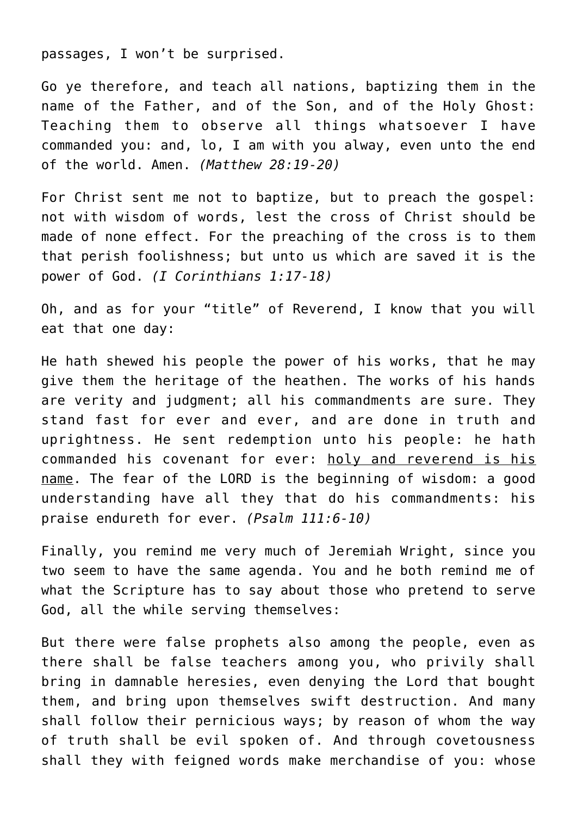passages, I won't be surprised.

Go ye therefore, and teach all nations, baptizing them in the name of the Father, and of the Son, and of the Holy Ghost: Teaching them to observe all things whatsoever I have commanded you: and, lo, I am with you alway, even unto the end of the world. Amen. *(Matthew 28:19-20)*

For Christ sent me not to baptize, but to preach the gospel: not with wisdom of words, lest the cross of Christ should be made of none effect. For the preaching of the cross is to them that perish foolishness; but unto us which are saved it is the power of God. *(I Corinthians 1:17-18)*

Oh, and as for your "title" of Reverend, I know that you will eat that one day:

He hath shewed his people the power of his works, that he may give them the heritage of the heathen. The works of his hands are verity and judgment; all his commandments are sure. They stand fast for ever and ever, and are done in truth and uprightness. He sent redemption unto his people: he hath commanded his covenant for ever: holy and reverend is his name. The fear of the LORD is the beginning of wisdom: a good understanding have all they that do his commandments: his praise endureth for ever. *(Psalm 111:6-10)*

Finally, you remind me very much of Jeremiah Wright, since you two seem to have the same agenda. You and he both remind me of what the Scripture has to say about those who pretend to serve God, all the while serving themselves:

But there were false prophets also among the people, even as there shall be false teachers among you, who privily shall bring in damnable heresies, even denying the Lord that bought them, and bring upon themselves swift destruction. And many shall follow their pernicious ways; by reason of whom the way of truth shall be evil spoken of. And through covetousness shall they with feigned words make merchandise of you: whose